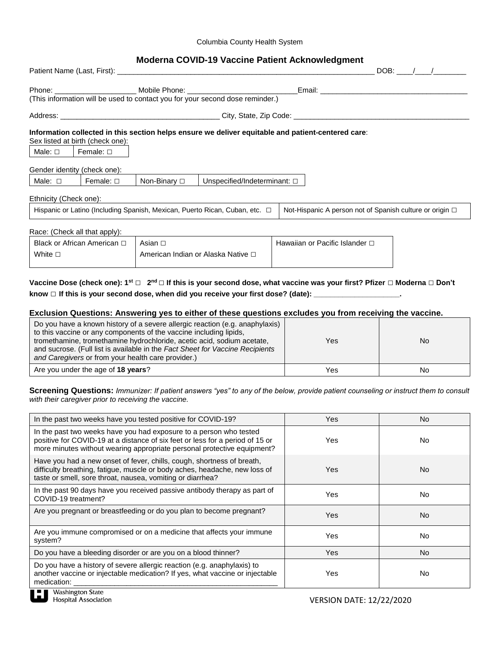#### Columbia County Health System

# **Moderna COVID-19 Vaccine Patient Acknowledgment**

|                              |                                  |                 |                                                                                   |                                                                                                                                                                                                                                | $DOB:$ / / |
|------------------------------|----------------------------------|-----------------|-----------------------------------------------------------------------------------|--------------------------------------------------------------------------------------------------------------------------------------------------------------------------------------------------------------------------------|------------|
|                              |                                  |                 | Phone: ________________________________ Mobile Phone: ___________________________ | Email: Email: All and the state of the state of the state of the state of the state of the state of the state of the state of the state of the state of the state of the state of the state of the state of the state of the s |            |
|                              |                                  |                 | (This information will be used to contact you for your second dose reminder.)     |                                                                                                                                                                                                                                |            |
|                              |                                  |                 |                                                                                   |                                                                                                                                                                                                                                |            |
|                              | Sex listed at birth (check one): |                 |                                                                                   | Information collected in this section helps ensure we deliver equitable and patient-centered care:                                                                                                                             |            |
| Male: □                      | Female: $\square$                |                 |                                                                                   |                                                                                                                                                                                                                                |            |
| Gender identity (check one): |                                  |                 |                                                                                   |                                                                                                                                                                                                                                |            |
| Male: $\square$              | Female: □                        | Non-Binary □    | Unspecified/Indeterminant: $\square$                                              |                                                                                                                                                                                                                                |            |
| Ethnicity (Check one):       |                                  |                 |                                                                                   |                                                                                                                                                                                                                                |            |
|                              |                                  |                 | Hispanic or Latino (Including Spanish, Mexican, Puerto Rican, Cuban, etc. $\Box$  | Not-Hispanic A person not of Spanish culture or origin □                                                                                                                                                                       |            |
|                              | Race: (Check all that apply):    |                 |                                                                                   |                                                                                                                                                                                                                                |            |
| Black or African American □  |                                  | Asian $\square$ |                                                                                   | Hawaiian or Pacific Islander □                                                                                                                                                                                                 |            |
| White $\square$              |                                  |                 | American Indian or Alaska Native □                                                |                                                                                                                                                                                                                                |            |

# **Vaccine Dose (check one): 1st □ 2 nd □ If this is your second dose, what vaccine was your first? Pfizer □ Moderna □ Don't know □ If this is your second dose, when did you receive your first dose? (date): \_\_\_\_\_\_\_\_\_\_\_\_\_\_\_\_\_\_\_\_\_.**

### **Exclusion Questions: Answering yes to either of these questions excludes you from receiving the vaccine.**

| Do you have a known history of a severe allergic reaction (e.g. anaphylaxis)<br>to this vaccine or any components of the vaccine including lipids,<br>tromethamine, tromethamine hydrochloride, acetic acid, sodium acetate,<br>and sucrose. (Full list is available in the Fact Sheet for Vaccine Recipients<br>and Caregivers or from your health care provider.) | Yes | No |
|---------------------------------------------------------------------------------------------------------------------------------------------------------------------------------------------------------------------------------------------------------------------------------------------------------------------------------------------------------------------|-----|----|
| Are you under the age of 18 years?                                                                                                                                                                                                                                                                                                                                  | Yes | No |

### **Screening Questions:** *Immunizer: If patient answers "yes" to any of the below, provide patient counseling or instruct them to consult with their caregiver prior to receiving the vaccine.*

| In the past two weeks have you tested positive for COVID-19?                                                                                                                                                                   | Yes | No.       |
|--------------------------------------------------------------------------------------------------------------------------------------------------------------------------------------------------------------------------------|-----|-----------|
| In the past two weeks have you had exposure to a person who tested<br>positive for COVID-19 at a distance of six feet or less for a period of 15 or<br>more minutes without wearing appropriate personal protective equipment? | Yes | No.       |
| Have you had a new onset of fever, chills, cough, shortness of breath,<br>difficulty breathing, fatigue, muscle or body aches, headache, new loss of<br>taste or smell, sore throat, nausea, vomiting or diarrhea?             | Yes | No.       |
| In the past 90 days have you received passive antibody therapy as part of<br>COVID-19 treatment?                                                                                                                               | Yes | No.       |
| Are you pregnant or breastfeeding or do you plan to become pregnant?                                                                                                                                                           | Yes | <b>No</b> |
| Are you immune compromised or on a medicine that affects your immune<br>system?                                                                                                                                                | Yes | No.       |
| Do you have a bleeding disorder or are you on a blood thinner?                                                                                                                                                                 | Yes | <b>No</b> |
| Do you have a history of severe allergic reaction (e.g. anaphylaxis) to<br>another vaccine or injectable medication? If yes, what vaccine or injectable<br>medication:                                                         | Yes | No        |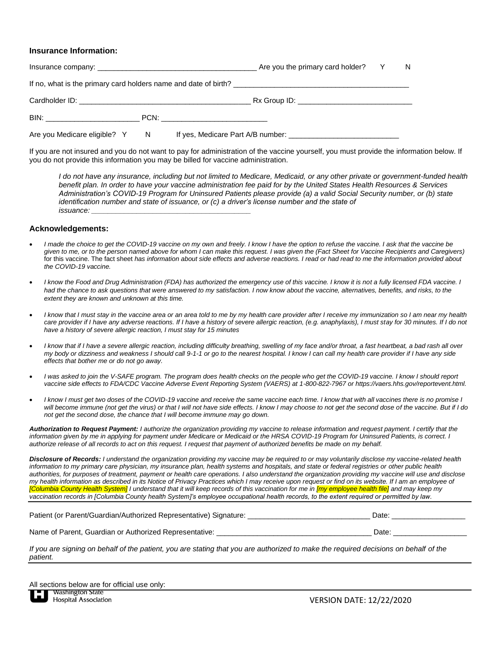#### **Insurance Information:**

|                                                      |                                                                  | N |
|------------------------------------------------------|------------------------------------------------------------------|---|
|                                                      | If no, what is the primary card holders name and date of birth?  |   |
| Cardholder ID: New York State And The Cardholder ID: | Rx Group ID: _________________________________                   |   |
|                                                      |                                                                  |   |
|                                                      | Are you Medicare eligible? Y N If yes, Medicare Part A/B number: |   |

If you are not insured and you do not want to pay for administration of the vaccine yourself, you must provide the information below. If you do not provide this information you may be billed for vaccine administration.

*I do not have any insurance, including but not limited to Medicare, Medicaid, or any other private or government-funded health benefit plan. In order to have your vaccine administration fee paid for by the United States Health Resources & Services Administration's COVID-19 Program for Uninsured Patients please provide (a) a valid Social Security number, or (b) state identification number and state of issuance, or (c) a driver's license number and the state of issuance: \_\_\_\_\_\_\_\_\_\_\_\_\_\_\_\_\_\_\_\_\_\_\_\_\_\_\_\_\_\_\_\_\_\_\_\_\_\_\_*

### **Acknowledgements:**

- *I made the choice to get the COVID-19 vaccine on my own and freely. I know I have the option to refuse the vaccine. I ask that the vaccine be given to me, or to the person named above for whom I can make this request. I was given the (Fact Sheet for Vaccine Recipients and Caregivers)* for this vaccine. The fact sheet *has information about side effects and adverse reactions. I read or had read to me the information provided about the COVID-19 vaccine.*
- *I know the Food and Drug Administration (FDA) has authorized the emergency use of this vaccine. I know it is not a fully licensed FDA vaccine. I* had the chance to ask questions that were answered to my satisfaction. I now know about the vaccine, alternatives, benefits, and risks, to the *extent they are known and unknown at this time.*
- *I know that I must stay in the vaccine area or an area told to me by my health care provider after I receive my immunization so I am near my health* care provider if I have any adverse reactions. If I have a history of severe allergic reaction, (e.g. anaphylaxis), I must stay for 30 minutes. If I do not *have a history of severe allergic reaction, I must stay for 15 minutes*
- *I know that if I have a severe allergic reaction, including difficulty breathing, swelling of my face and/or throat, a fast heartbeat, a bad rash all over my body or dizziness and weakness I should call 9-1-1 or go to the nearest hospital. I know I can call my health care provider if I have any side effects that bother me or do not go away.*
- *I was asked to join the V-SAFE program. The program does health checks on the people who get the COVID-19 vaccine. I know I should report vaccine side effects to FDA/CDC Vaccine Adverse Event Reporting System (VAERS) at 1-800-822-7967 or https://vaers.hhs.gov/reportevent.html.*
- *I know I must get two doses of the COVID-19 vaccine and receive the same vaccine each time. I know that with all vaccines there is no promise I will become immune (not get the virus) or that I will not have side effects. I know I may choose to not get the second dose of the vaccine. But if I do not get the second dose, the chance that I will become immune may go down.*

*Authorization to Request Payment: I authorize the organization providing my vaccine to release information and request payment. I certify that the*  information given by me in applying for payment under Medicare or Medicaid or the HRSA COVID-19 Program for Uninsured Patients, is correct. I *authorize release of all records to act on this request. I request that payment of authorized benefits be made on my behalf.* 

*Disclosure of Records: I understand the organization providing my vaccine may be required to or may voluntarily disclose my vaccine-related health information to my primary care physician, my insurance plan, health systems and hospitals, and state or federal registries or other public health authorities, for purposes of treatment, payment or health care operations. I also understand the organization providing my vaccine will use and disclose my health information as described in its Notice of Privacy Practices which I may receive upon request or find on its website. If I am an employee of [Columbia County Health System] I understand that it will keep records of this vaccination for me in [my employee health file] and may keep my vaccination records in [Columbia County health System]'s employee occupational health records, to the extent required or permitted by law.* 

| Patient (or Parent/Guardian/Authorized Representative) Signature: |  | Date |
|-------------------------------------------------------------------|--|------|
|                                                                   |  |      |

Name of Parent, Guardian or Authorized Representative: \_\_\_\_\_\_\_\_\_\_\_\_\_\_\_\_\_\_\_\_\_\_\_\_\_\_\_\_\_\_\_\_\_\_\_\_\_\_ Date: \_\_\_\_\_\_\_\_\_\_\_\_\_\_\_\_\_\_

*If you are signing on behalf of the patient, you are stating that you are authorized to make the required decisions on behalf of the patient.*

All sections below are for official use only:<br> $\blacksquare$  Washington State